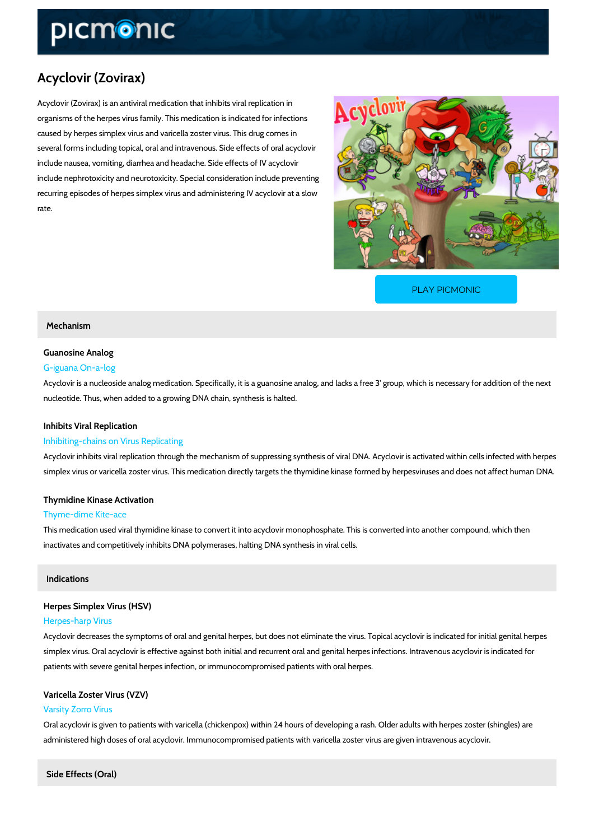# Acyclovir (Zovirax)

Acyclovir (Zovirax) is an antiviral medication that inhibits viral replication in organisms of the herpes virus family. This medication is indicated for infections caused by herpes simplex virus and varicella zoster virus. This drug comes in several forms including topical, oral and intravenous. Side effects of oral acyclovir include nausea, vomiting, diarrhea and headache. Side effects of IV acyclovir include nephrotoxicity and neurotoxicity. Special consideration include preventing recurring episodes of herpes simplex virus and administering IV acyclovir at a slow rate.

[PLAY PICMONIC](https://www.picmonic.com/learn/acyclovir-zovirax_2091?utm_source=downloadable_content&utm_medium=distributedcontent&utm_campaign=pathways_pdf&utm_content=Acyclovir (Zovirax)&utm_ad_group=leads&utm_market=all)

# Mechanism

# Guanosine Analog

# G-iguana On-a-log

Acyclovir is a nucleoside analog medication. Specifically, it is a guanosine analog, and lacks nucleotide. Thus, when added to a growing DNA chain, synthesis is halted.

## Inhibits Viral Replication

### Inhibiting-chains on Virus Replicating

Acyclovir inhibits viral replication through the mechanism of suppressing synthesis of viral DI simplex virus or varicella zoster virus. This medication directly targets the thymidine kinase f

## Thymidine Kinase Activation

#### Thyme-dime Kite-ace

This medication used viral thymidine kinase to convert it into acyclovir monophosphate. This i inactivates and competitively inhibits DNA polymerases, halting DNA synthesis in viral cells.

### Indications

# Herpes Simplex Virus (HSV) Herpes-harp Virus

Acyclovir decreases the symptoms of oral and genital herpes, but does not eliminate the virus simplex virus. Oral acyclovir is effective against both initial and recurrent oral and genital he patients with severe genital herpes infection, or immunocompromised patients with oral herpe

# Varicella Zoster Virus (VZV) Varsity Zorro Virus

Oral acyclovir is given to patients with varicella (chickenpox) within 24 hours of developing a administered high doses of oral acyclovir. Immunocompromised patients with varicella zoster

Side Effects (Oral)